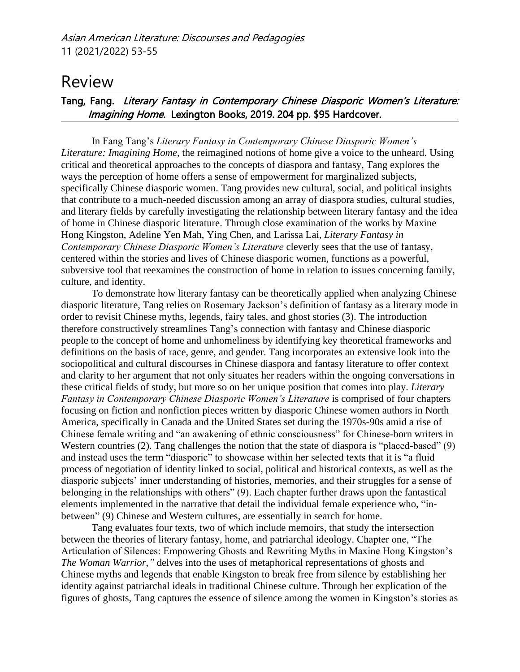## Review

## Tang, Fang. Literary Fantasy in Contemporary Chinese Diasporic Women's Literature: Imagining Home. Lexington Books, 2019. 204 pp. \$95 Hardcover.

In Fang Tang's *Literary Fantasy in Contemporary Chinese Diasporic Women's Literature: Imagining Home,* the reimagined notions of home give a voice to the unheard. Using critical and theoretical approaches to the concepts of diaspora and fantasy, Tang explores the ways the perception of home offers a sense of empowerment for marginalized subjects, specifically Chinese diasporic women. Tang provides new cultural, social, and political insights that contribute to a much-needed discussion among an array of diaspora studies, cultural studies, and literary fields by carefully investigating the relationship between literary fantasy and the idea of home in Chinese diasporic literature. Through close examination of the works by Maxine Hong Kingston, Adeline Yen Mah, Ying Chen, and Larissa Lai, *Literary Fantasy in Contemporary Chinese Diasporic Women's Literature* cleverly sees that the use of fantasy, centered within the stories and lives of Chinese diasporic women, functions as a powerful, subversive tool that reexamines the construction of home in relation to issues concerning family, culture, and identity.

To demonstrate how literary fantasy can be theoretically applied when analyzing Chinese diasporic literature, Tang relies on Rosemary Jackson's definition of fantasy as a literary mode in order to revisit Chinese myths, legends, fairy tales, and ghost stories (3). The introduction therefore constructively streamlines Tang's connection with fantasy and Chinese diasporic people to the concept of home and unhomeliness by identifying key theoretical frameworks and definitions on the basis of race, genre, and gender. Tang incorporates an extensive look into the sociopolitical and cultural discourses in Chinese diaspora and fantasy literature to offer context and clarity to her argument that not only situates her readers within the ongoing conversations in these critical fields of study, but more so on her unique position that comes into play. *Literary Fantasy in Contemporary Chinese Diasporic Women's Literature* is comprised of four chapters focusing on fiction and nonfiction pieces written by diasporic Chinese women authors in North America, specifically in Canada and the United States set during the 1970s-90s amid a rise of Chinese female writing and "an awakening of ethnic consciousness" for Chinese-born writers in Western countries (2). Tang challenges the notion that the state of diaspora is "placed-based" (9) and instead uses the term "diasporic" to showcase within her selected texts that it is "a fluid process of negotiation of identity linked to social, political and historical contexts, as well as the diasporic subjects' inner understanding of histories, memories, and their struggles for a sense of belonging in the relationships with others" (9). Each chapter further draws upon the fantastical elements implemented in the narrative that detail the individual female experience who, "inbetween" (9) Chinese and Western cultures, are essentially in search for home.

Tang evaluates four texts, two of which include memoirs, that study the intersection between the theories of literary fantasy, home, and patriarchal ideology. Chapter one, "The Articulation of Silences: Empowering Ghosts and Rewriting Myths in Maxine Hong Kingston's *The Woman Warrior*,*"* delves into the uses of metaphorical representations of ghosts and Chinese myths and legends that enable Kingston to break free from silence by establishing her identity against patriarchal ideals in traditional Chinese culture. Through her explication of the figures of ghosts, Tang captures the essence of silence among the women in Kingston's stories as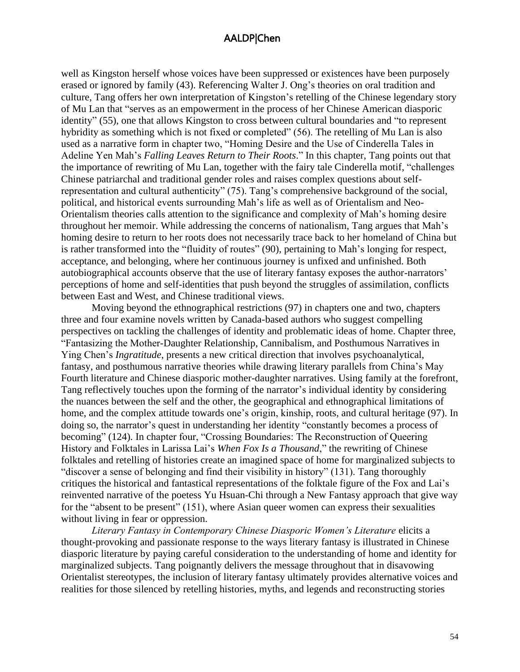## AALDP|Chen

well as Kingston herself whose voices have been suppressed or existences have been purposely erased or ignored by family (43). Referencing Walter J. Ong's theories on oral tradition and culture, Tang offers her own interpretation of Kingston's retelling of the Chinese legendary story of Mu Lan that "serves as an empowerment in the process of her Chinese American diasporic identity" (55), one that allows Kingston to cross between cultural boundaries and "to represent hybridity as something which is not fixed or completed" (56). The retelling of Mu Lan is also used as a narrative form in chapter two, "Homing Desire and the Use of Cinderella Tales in Adeline Yen Mah's *Falling Leaves Return to Their Roots*." In this chapter, Tang points out that the importance of rewriting of Mu Lan, together with the fairy tale Cinderella motif, "challenges Chinese patriarchal and traditional gender roles and raises complex questions about selfrepresentation and cultural authenticity" (75). Tang's comprehensive background of the social, political, and historical events surrounding Mah's life as well as of Orientalism and Neo-Orientalism theories calls attention to the significance and complexity of Mah's homing desire throughout her memoir. While addressing the concerns of nationalism, Tang argues that Mah's homing desire to return to her roots does not necessarily trace back to her homeland of China but is rather transformed into the "fluidity of routes" (90), pertaining to Mah's longing for respect, acceptance, and belonging, where her continuous journey is unfixed and unfinished. Both autobiographical accounts observe that the use of literary fantasy exposes the author-narrators' perceptions of home and self-identities that push beyond the struggles of assimilation, conflicts between East and West, and Chinese traditional views.

Moving beyond the ethnographical restrictions (97) in chapters one and two, chapters three and four examine novels written by Canada-based authors who suggest compelling perspectives on tackling the challenges of identity and problematic ideas of home. Chapter three, "Fantasizing the Mother-Daughter Relationship, Cannibalism, and Posthumous Narratives in Ying Chen's *Ingratitude*, presents a new critical direction that involves psychoanalytical, fantasy, and posthumous narrative theories while drawing literary parallels from China's May Fourth literature and Chinese diasporic mother-daughter narratives. Using family at the forefront, Tang reflectively touches upon the forming of the narrator's individual identity by considering the nuances between the self and the other, the geographical and ethnographical limitations of home, and the complex attitude towards one's origin, kinship, roots, and cultural heritage (97). In doing so, the narrator's quest in understanding her identity "constantly becomes a process of becoming" (124). In chapter four, "Crossing Boundaries: The Reconstruction of Queering History and Folktales in Larissa Lai's *When Fox Is a Thousand*," the rewriting of Chinese folktales and retelling of histories create an imagined space of home for marginalized subjects to "discover a sense of belonging and find their visibility in history" (131). Tang thoroughly critiques the historical and fantastical representations of the folktale figure of the Fox and Lai's reinvented narrative of the poetess Yu Hsuan-Chi through a New Fantasy approach that give way for the "absent to be present" (151), where Asian queer women can express their sexualities without living in fear or oppression.

*Literary Fantasy in Contemporary Chinese Diasporic Women's Literature* elicits a thought-provoking and passionate response to the ways literary fantasy is illustrated in Chinese diasporic literature by paying careful consideration to the understanding of home and identity for marginalized subjects. Tang poignantly delivers the message throughout that in disavowing Orientalist stereotypes, the inclusion of literary fantasy ultimately provides alternative voices and realities for those silenced by retelling histories, myths, and legends and reconstructing stories